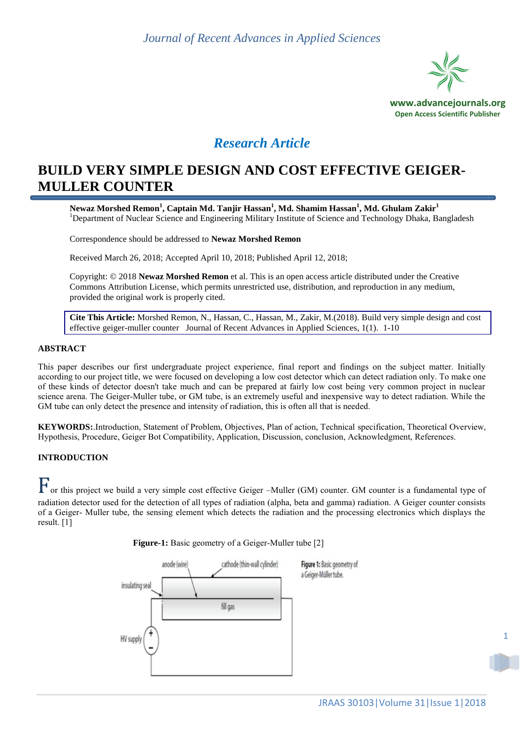

# *Research Article*

# **BUILD VERY SIMPLE DESIGN AND COST EFFECTIVE GEIGER-MULLER COUNTER**

**Newaz Morshed Remon<sup>1</sup> , Captain Md. Tanjir Hassan<sup>1</sup> , Md. Shamim Hassan<sup>1</sup> , Md. Ghulam Zakir<sup>1</sup>** <sup>1</sup>Department of Nuclear Science and Engineering Military Institute of Science and Technology Dhaka, Bangladesh

Correspondence should be addressed to **Newaz Morshed Remon**

Received March 26, 2018; Accepted April 10, 2018; Published April 12, 2018;

Copyright: © 2018 **Newaz Morshed Remon** et al. This is an open access article distributed under the Creative Commons Attribution License, which permits unrestricted use, distribution, and reproduction in any medium, provided the original work is properly cited.

**Cite This Article:** Morshed Remon, N., Hassan, C., Hassan, M., Zakir, M.(2018). Build very simple design and cost effective geiger-muller counter Journal of Recent Advances in Applied Sciences, 1(1). 1-10

#### **ABSTRACT**

This paper describes our first undergraduate project experience, final report and findings on the subject matter. Initially according to our project title, we were focused on developing a low cost detector which can detect radiation only. To make one of these kinds of detector doesn't take much and can be prepared at fairly low cost being very common project in nuclear science arena. The Geiger-Muller tube, or GM tube, is an extremely useful and inexpensive way to detect radiation. While the GM tube can only detect the presence and intensity of radiation, this is often all that is needed.

**KEYWORDS:**.Introduction, Statement of Problem, Objectives, Plan of action, Technical specification, Theoretical Overview, Hypothesis, Procedure, Geiger Bot Compatibility, Application, Discussion, conclusion, Acknowledgment, References.

### **INTRODUCTION**

For this project we build a very simple cost effective Geiger –Muller (GM) counter. GM counter is a fundamental type of radiation detector used for the detection of all types of radiation (alpha, beta and gamma) radiation. A Geiger counter consists of a Geiger- Muller tube, the sensing element which detects the radiation and the processing electronics which displays the result. [1]

**Figure-1:** Basic geometry of a Geiger-Muller tube [2]

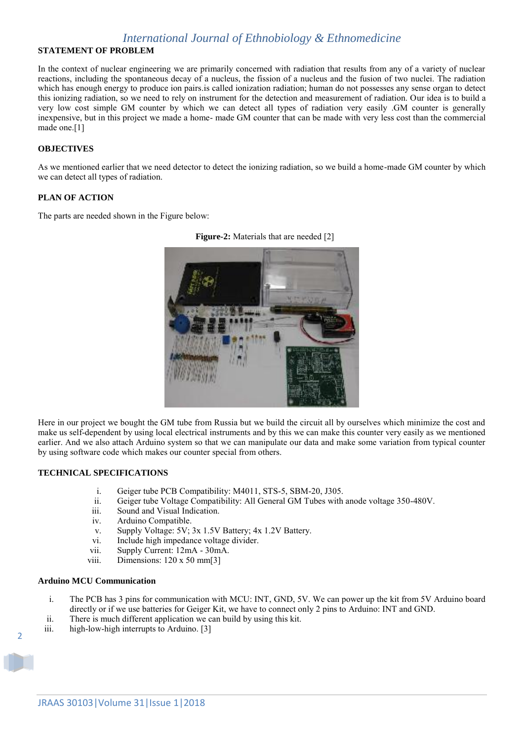### **STATEMENT OF PROBLEM**

In the context of nuclear engineering we are primarily concerned with radiation that results from any of a variety of nuclear reactions, including the spontaneous decay of a nucleus, the fission of a nucleus and the fusion of two nuclei. The radiation which has enough energy to produce ion pairs.is called ionization radiation; human do not possesses any sense organ to detect this ionizing radiation, so we need to rely on instrument for the detection and measurement of radiation. Our idea is to build a very low cost simple GM counter by which we can detect all types of radiation very easily .GM counter is generally inexpensive, but in this project we made a home- made GM counter that can be made with very less cost than the commercial made one.[1]

### **OBJECTIVES**

As we mentioned earlier that we need detector to detect the ionizing radiation, so we build a home-made GM counter by which we can detect all types of radiation.

#### **PLAN OF ACTION**

The parts are needed shown in the Figure below:



**Figure-2:** Materials that are needed [2]

Here in our project we bought the GM tube from Russia but we build the circuit all by ourselves which minimize the cost and make us self-dependent by using local electrical instruments and by this we can make this counter very easily as we mentioned earlier. And we also attach Arduino system so that we can manipulate our data and make some variation from typical counter by using software code which makes our counter special from others.

#### **TECHNICAL SPECIFICATIONS**

- i. Geiger tube PCB Compatibility: M4011, STS-5, SBM-20, J305.
- ii. Geiger tube Voltage Compatibility: All General GM Tubes with anode voltage 350-480V.
- iii. Sound and Visual Indication.
- iv. Arduino Compatible.
- v. Supply Voltage: 5V; 3x 1.5V Battery; 4x 1.2V Battery.
- vi. Include high impedance voltage divider.
- vii. Supply Current: 12mA 30mA.
- viii. Dimensions: 120 x 50 mm[3]

#### **Arduino MCU Communication**

- i. The PCB has 3 pins for communication with MCU: INT, GND, 5V. We can power up the kit from 5V Arduino board directly or if we use batteries for Geiger Kit, we have to connect only 2 pins to Arduino: INT and GND.
- ii. There is much different application we can build by using this kit.
- iii. high-low-high interrupts to Arduino. [3]

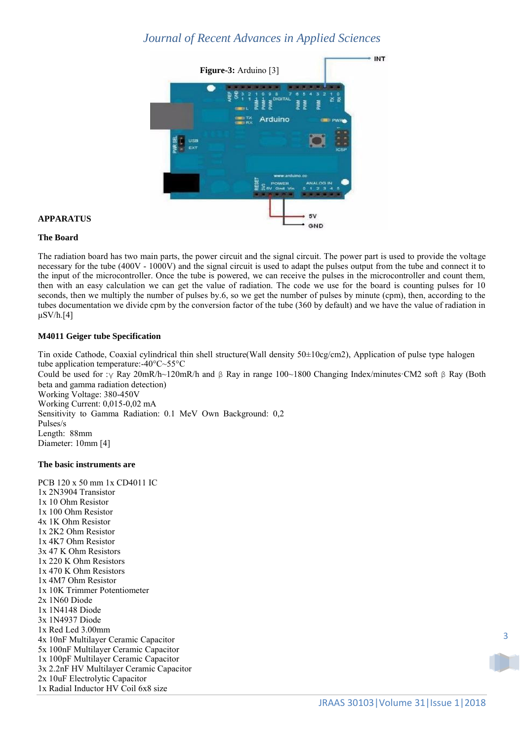

#### **APPARATUS**

#### **The Board**

The radiation board has two main parts, the power circuit and the signal circuit. The power part is used to provide the voltage necessary for the tube (400V - 1000V) and the signal circuit is used to adapt the pulses output from the tube and connect it to the input of the microcontroller. Once the tube is powered, we can receive the pulses in the microcontroller and count them, then with an easy calculation we can get the value of radiation. The code we use for the board is counting pulses for 10 seconds, then we multiply the number of pulses by.6, so we get the number of pulses by minute (cpm), then, according to the tubes documentation we divide cpm by the conversion factor of the tube (360 by default) and we have the value of radiation in  $\mu$ SV/h.[4]

### **M4011 Geiger tube Specification**

Tin oxide Cathode, Coaxial cylindrical thin shell structure(Wall density 50±10cg/cm2), Application of pulse type halogen tube application temperature:-40°C~55°C Could be used for :γ Ray 20mR/h~120mR/h and β Ray in range 100~1800 Changing Index/minutes·CM2 soft β Ray (Both beta and gamma radiation detection) Working Voltage: 380-450V Working Current: 0,015-0,02 mA Sensitivity to Gamma Radiation: 0.1 MeV Own Background: 0,2 Pulses/s Length: 88mm Diameter: 10mm [4]

#### **The basic instruments are**

PCB 120 x 50 mm 1x CD4011 IC 1x 2N3904 Transistor 1x 10 Ohm Resistor 1x 100 Ohm Resistor 4x 1K Ohm Resistor 1x 2K2 Ohm Resistor 1x 4K7 Ohm Resistor 3x 47 K Ohm Resistors 1x 220 K Ohm Resistors 1x 470 K Ohm Resistors 1x 4M7 Ohm Resistor 1x 10K Trimmer Potentiometer 2x 1N60 Diode 1x 1N4148 Diode 3x 1N4937 Diode 1x Red Led 3.00mm 4x 10nF Multilayer Ceramic Capacitor 5x 100nF Multilayer Ceramic Capacitor 1x 100pF Multilayer Ceramic Capacitor 3x 2.2nF HV Multilayer Ceramic Capacitor 2x 10uF Electrolytic Capacitor 1x Radial Inductor HV Coil 6x8 size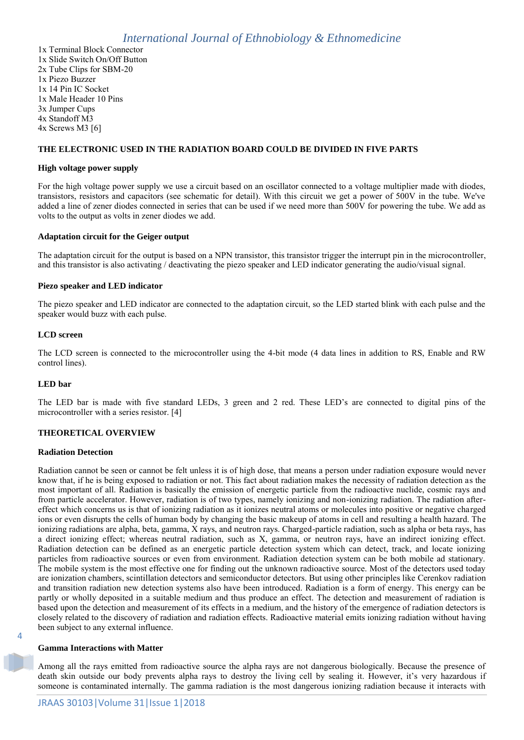1x Terminal Block Connector 1x Slide Switch On/Off Button 2x Tube Clips for SBM-20 1x Piezo Buzzer 1x 14 Pin IC Socket 1x Male Header 10 Pins 3x Jumper Cups 4x Standoff M3 4x Screws M3 [6]

### **THE ELECTRONIC USED IN THE RADIATION BOARD COULD BE DIVIDED IN FIVE PARTS**

#### **High voltage power supply**

For the high voltage power supply we use a circuit based on an oscillator connected to a voltage multiplier made with diodes, transistors, resistors and capacitors (see schematic for detail). With this circuit we get a power of 500V in the tube. We've added a line of zener diodes connected in series that can be used if we need more than 500V for powering the tube. We add as volts to the output as volts in zener diodes we add.

#### **Adaptation circuit for the Geiger output**

The adaptation circuit for the output is based on a NPN transistor, this transistor trigger the interrupt pin in the microcontroller, and this transistor is also activating / deactivating the piezo speaker and LED indicator generating the audio/visual signal.

#### **Piezo speaker and LED indicator**

The piezo speaker and LED indicator are connected to the adaptation circuit, so the LED started blink with each pulse and the speaker would buzz with each pulse.

#### **LCD screen**

The LCD screen is connected to the microcontroller using the 4-bit mode (4 data lines in addition to RS, Enable and RW control lines).

#### **LED bar**

The LED bar is made with five standard LEDs, 3 green and 2 red. These LED's are connected to digital pins of the microcontroller with a series resistor. [4]

#### **THEORETICAL OVERVIEW**

#### **Radiation Detection**

Radiation cannot be seen or cannot be felt unless it is of high dose, that means a person under radiation exposure would never know that, if he is being exposed to radiation or not. This fact about radiation makes the necessity of radiation detection as the most important of all. Radiation is basically the emission of energetic particle from the radioactive nuclide, cosmic rays and from particle accelerator. However, radiation is of two types, namely ionizing and non-ionizing radiation. The radiation aftereffect which concerns us is that of ionizing radiation as it ionizes neutral atoms or molecules into positive or negative charged ions or even disrupts the cells of human body by changing the basic makeup of atoms in cell and resulting a health hazard. The ionizing radiations are alpha, beta, gamma, X rays, and neutron rays. Charged-particle radiation, such as alpha or beta rays, has a direct ionizing effect; whereas neutral radiation, such as X, gamma, or neutron rays, have an indirect ionizing effect. Radiation detection can be defined as an energetic particle detection system which can detect, track, and locate ionizing particles from radioactive sources or even from environment. Radiation detection system can be both mobile ad stationary. The mobile system is the most effective one for finding out the unknown radioactive source. Most of the detectors used today are ionization chambers, scintillation detectors and semiconductor detectors. But using other principles like Cerenkov radiation and transition radiation new detection systems also have been introduced. Radiation is a form of energy. This energy can be partly or wholly deposited in a suitable medium and thus produce an effect. The detection and measurement of radiation is based upon the detection and measurement of its effects in a medium, and the history of the emergence of radiation detectors is closely related to the discovery of radiation and radiation effects. Radioactive material emits ionizing radiation without having been subject to any external influence.

#### **Gamma Interactions with Matter**

4

Among all the rays emitted from radioactive source the alpha rays are not dangerous biologically. Because the presence of death skin outside our body prevents alpha rays to destroy the living cell by sealing it. However, it's very hazardous if someone is contaminated internally. The gamma radiation is the most dangerous ionizing radiation because it interacts with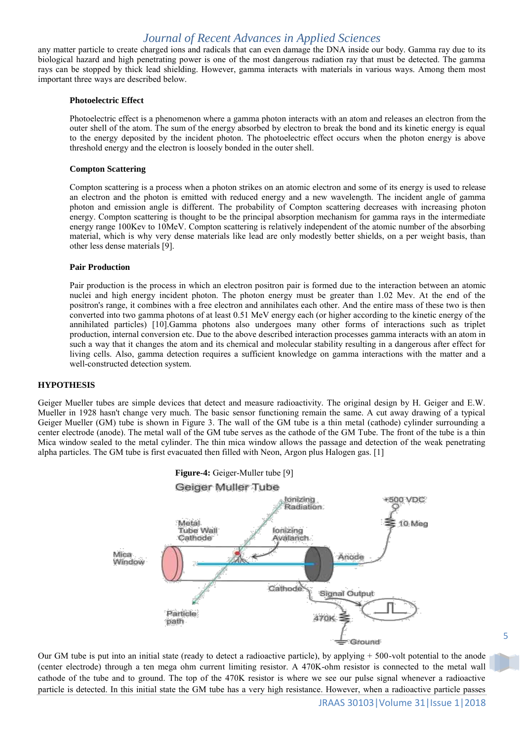any matter particle to create charged ions and radicals that can even damage the DNA inside our body. Gamma ray due to its biological hazard and high penetrating power is one of the most dangerous radiation ray that must be detected. The gamma rays can be stopped by thick lead shielding. However, gamma interacts with materials in various ways. Among them most important three ways are described below.

#### **Photoelectric Effect**

Photoelectric effect is a phenomenon where a gamma photon interacts with an atom and releases an electron from the outer shell of the atom. The sum of the energy absorbed by electron to break the bond and its kinetic energy is equal to the energy deposited by the incident photon. The photoelectric effect occurs when the photon energy is above threshold energy and the electron is loosely bonded in the outer shell.

#### **Compton Scattering**

Compton scattering is a process when a photon strikes on an atomic electron and some of its energy is used to release an electron and the photon is emitted with reduced energy and a new wavelength. The incident angle of gamma photon and emission angle is different. The probability of Compton scattering decreases with increasing photon energy. Compton scattering is thought to be the principal absorption mechanism for gamma rays in the intermediate energy range 100Kev to 10MeV. Compton scattering is relatively independent of the atomic number of the absorbing material, which is why very dense materials like lead are only modestly better shields, on a per weight basis, than other less dense materials [9].

#### **Pair Production**

Pair production is the process in which an electron positron pair is formed due to the interaction between an atomic nuclei and high energy incident photon. The photon energy must be greater than 1.02 Mev. At the end of the positron's range, it combines with a free electron and annihilates each other. And the entire mass of these two is then converted into two gamma photons of at least 0.51 MeV energy each (or higher according to the kinetic energy of the annihilated particles) [10].Gamma photons also undergoes many other forms of interactions such as triplet production, internal conversion etc. Due to the above described interaction processes gamma interacts with an atom in such a way that it changes the atom and its chemical and molecular stability resulting in a dangerous after effect for living cells. Also, gamma detection requires a sufficient knowledge on gamma interactions with the matter and a well-constructed detection system.

#### **HYPOTHESIS**

Geiger Mueller tubes are simple devices that detect and measure radioactivity. The original design by H. Geiger and E.W. Mueller in 1928 hasn't change very much. The basic sensor functioning remain the same. A cut away drawing of a typical Geiger Mueller (GM) tube is shown in Figure 3. The wall of the GM tube is a thin metal (cathode) cylinder surrounding a center electrode (anode). The metal wall of the GM tube serves as the cathode of the GM Tube. The front of the tube is a thin Mica window sealed to the metal cylinder. The thin mica window allows the passage and detection of the weak penetrating alpha particles. The GM tube is first evacuated then filled with Neon, Argon plus Halogen gas. [1]



Our GM tube is put into an initial state (ready to detect a radioactive particle), by applying  $+ 500$ -volt potential to the anode (center electrode) through a ten mega ohm current limiting resistor. A 470K-ohm resistor is connected to the metal wall cathode of the tube and to ground. The top of the 470K resistor is where we see our pulse signal whenever a radioactive particle is detected. In this initial state the GM tube has a very high resistance. However, when a radioactive particle passes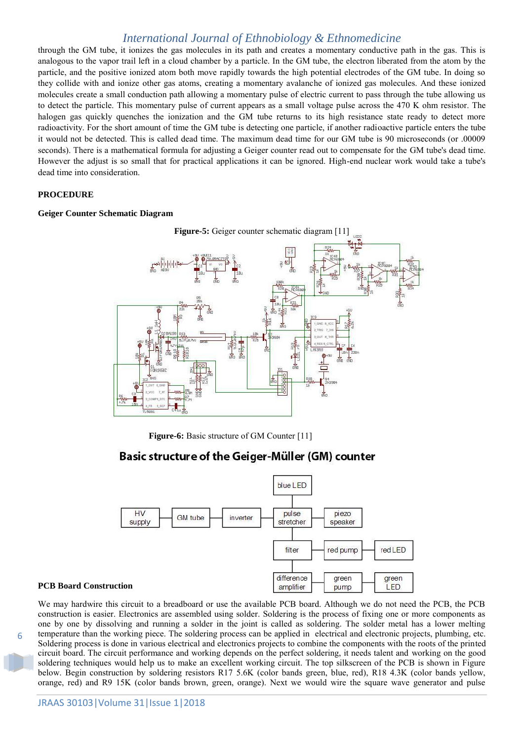through the GM tube, it ionizes the gas molecules in its path and creates a momentary conductive path in the gas. This is analogous to the vapor trail left in a cloud chamber by a particle. In the GM tube, the electron liberated from the atom by the particle, and the positive ionized atom both move rapidly towards the high potential electrodes of the GM tube. In doing so they collide with and ionize other gas atoms, creating a momentary avalanche of ionized gas molecules. And these ionized molecules create a small conduction path allowing a momentary pulse of electric current to pass through the tube allowing us to detect the particle. This momentary pulse of current appears as a small voltage pulse across the 470 K ohm resistor. The halogen gas quickly quenches the ionization and the GM tube returns to its high resistance state ready to detect more radioactivity. For the short amount of time the GM tube is detecting one particle, if another radioactive particle enters the tube it would not be detected. This is called dead time. The maximum dead time for our GM tube is 90 microseconds (or .00009 seconds). There is a mathematical formula for adjusting a Geiger counter read out to compensate for the GM tube's dead time. However the adjust is so small that for practical applications it can be ignored. High-end nuclear work would take a tube's dead time into consideration.

#### **PROCEDURE**

#### **Geiger Counter Schematic Diagram**



**Figure-6:** Basic structure of GM Counter [11]

# Basic structure of the Geiger-Müller (GM) counter



#### **PCB Board Construction**

6

construction is easier. Electronics are assembled using solder. Soldering is the process of fixing one or more components as one by one by dissolving and running a solder in the joint is called as soldering. The solder metal has a lower melting temperature than the working piece. The soldering process can be applied in electrical and electronic projects, plumbing, etc. Soldering process is done in various electrical and electronics projects to combine the components with the roots of the printed circuit board. The circuit performance and working depends on the perfect soldering, it needs talent and working on the good soldering techniques would help us to make an excellent working circuit. The top silkscreen of the PCB is shown in Figure below. Begin construction by soldering resistors R17 5.6K (color bands green, blue, red), R18 4.3K (color bands yellow, orange, red) and R9 15K (color bands brown, green, orange). Next we would wire the square wave generator and pulse

We may hardwire this circuit to a breadboard or use the available PCB board. Although we do not need the PCB, the PCB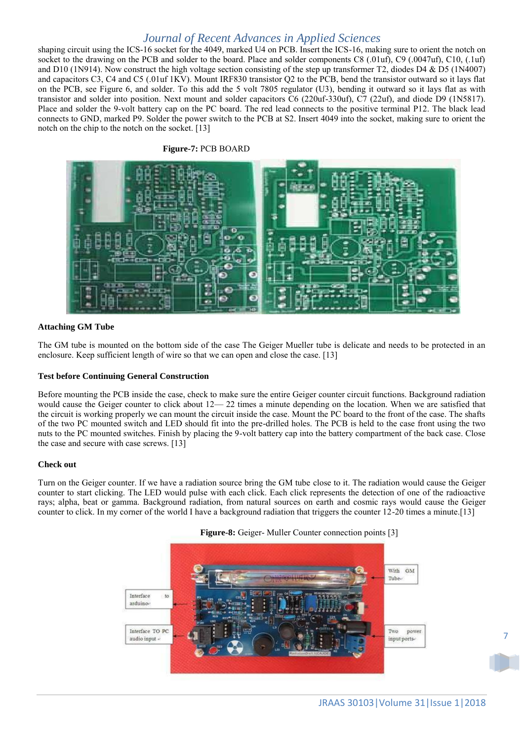shaping circuit using the ICS-16 socket for the 4049, marked U4 on PCB. Insert the ICS-16, making sure to orient the notch on socket to the drawing on the PCB and solder to the board. Place and solder components C8 (.01uf), C9 (.0047uf), C10, (.1uf) and D10 (1N914). Now construct the high voltage section consisting of the step up transformer T2, diodes D4 & D5 (1N4007) and capacitors C3, C4 and C5 (.01uf 1KV). Mount IRF830 transistor Q2 to the PCB, bend the transistor outward so it lays flat on the PCB, see Figure 6, and solder. To this add the 5 volt 7805 regulator (U3), bending it outward so it lays flat as with transistor and solder into position. Next mount and solder capacitors C6 (220uf-330uf), C7 (22uf), and diode D9 (1N5817). Place and solder the 9-volt battery cap on the PC board. The red lead connects to the positive terminal P12. The black lead connects to GND, marked P9. Solder the power switch to the PCB at S2. Insert 4049 into the socket, making sure to orient the notch on the chip to the notch on the socket. [13]

#### **Figure-7:** PCB BOARD



#### **Attaching GM Tube**

The GM tube is mounted on the bottom side of the case The Geiger Mueller tube is delicate and needs to be protected in an enclosure. Keep sufficient length of wire so that we can open and close the case. [13]

#### **Test before Continuing General Construction**

Before mounting the PCB inside the case, check to make sure the entire Geiger counter circuit functions. Background radiation would cause the Geiger counter to click about  $12-22$  times a minute depending on the location. When we are satisfied that the circuit is working properly we can mount the circuit inside the case. Mount the PC board to the front of the case. The shafts of the two PC mounted switch and LED should fit into the pre-drilled holes. The PCB is held to the case front using the two nuts to the PC mounted switches. Finish by placing the 9-volt battery cap into the battery compartment of the back case. Close the case and secure with case screws. [13]

#### **Check out**

Turn on the Geiger counter. If we have a radiation source bring the GM tube close to it. The radiation would cause the Geiger counter to start clicking. The LED would pulse with each click. Each click represents the detection of one of the radioactive rays; alpha, beat or gamma. Background radiation, from natural sources on earth and cosmic rays would cause the Geiger counter to click. In my corner of the world I have a background radiation that triggers the counter 12-20 times a minute.[13]



**Figure-8:** Geiger- Muller Counter connection points [3]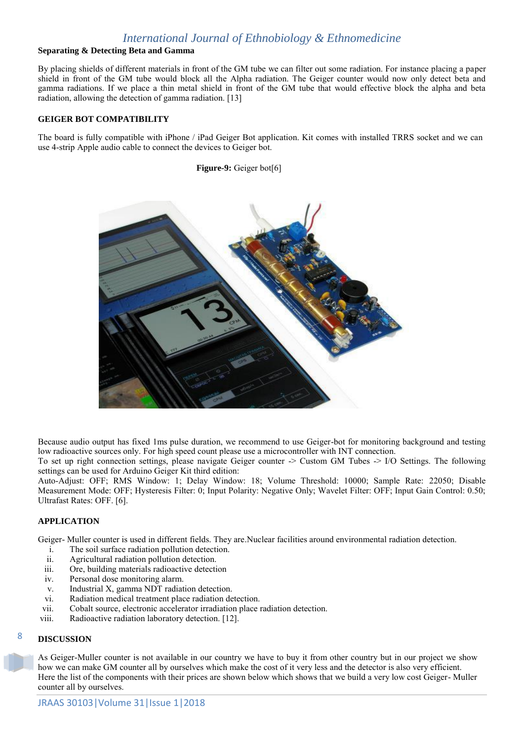### **Separating & Detecting Beta and Gamma**

By placing shields of different materials in front of the GM tube we can filter out some radiation. For instance placing a paper shield in front of the GM tube would block all the Alpha radiation. The Geiger counter would now only detect beta and gamma radiations. If we place a thin metal shield in front of the GM tube that would effective block the alpha and beta radiation, allowing the detection of gamma radiation. [13]

### **GEIGER BOT COMPATIBILITY**

The board is fully compatible with iPhone / iPad Geiger Bot application. Kit comes with installed TRRS socket and we can use 4-strip Apple audio cable to connect the devices to Geiger bot.

**Figure-9:** Geiger bot[6]



Because audio output has fixed 1ms pulse duration, we recommend to use Geiger-bot for monitoring background and testing low radioactive sources only. For high speed count please use a microcontroller with INT connection.

To set up right connection settings, please navigate Geiger counter -> Custom GM Tubes -> I/O Settings. The following settings can be used for Arduino Geiger Kit third edition:

Auto-Adjust: OFF; RMS Window: 1; Delay Window: 18; Volume Threshold: 10000; Sample Rate: 22050; Disable Measurement Mode: OFF; Hysteresis Filter: 0; Input Polarity: Negative Only; Wavelet Filter: OFF; Input Gain Control: 0.50; Ultrafast Rates: OFF. [6].

### **APPLICATION**

Geiger- Muller counter is used in different fields. They are.Nuclear facilities around environmental radiation detection.

- i. The soil surface radiation pollution detection.
- ii. Agricultural radiation pollution detection.
- iii. Ore, building materials radioactive detection
- iv. Personal dose monitoring alarm.
- v. Industrial X, gamma NDT radiation detection.
- vi. Radiation medical treatment place radiation detection.
- vii. Cobalt source, electronic accelerator irradiation place radiation detection.
- viii. Radioactive radiation laboratory detection. [12].

### **DISCUSSION**

8

As Geiger-Muller counter is not available in our country we have to buy it from other country but in our project we show how we can make GM counter all by ourselves which make the cost of it very less and the detector is also very efficient. Here the list of the components with their prices are shown below which shows that we build a very low cost Geiger- Muller counter all by ourselves.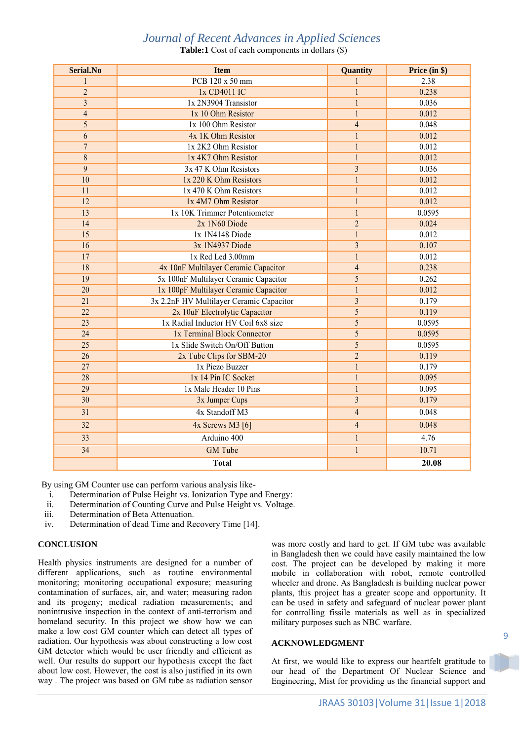**Table:1** Cost of each components in dollars (\$)

| Serial.No       | <b>Item</b>                              | Quantity                | Price (in \$) |
|-----------------|------------------------------------------|-------------------------|---------------|
| 1               | PCB 120 x 50 mm                          | 1                       | 2.38          |
| $\overline{2}$  | 1x CD4011 IC                             | $\mathbf{1}$            | 0.238         |
| $\overline{3}$  | 1x 2N3904 Transistor                     | $\mathbf{1}$            | 0.036         |
| $\overline{4}$  | 1x 10 Ohm Resistor                       | $\mathbf{1}$            | 0.012         |
| 5               | 1x 100 Ohm Resistor                      | $\overline{4}$          | 0.048         |
| 6               | 4x 1K Ohm Resistor                       | $\mathbf{1}$            | 0.012         |
| $\overline{7}$  | 1x 2K2 Ohm Resistor                      | $\mathbf{1}$            | 0.012         |
| 8               | 1x 4K7 Ohm Resistor                      | $\mathbf{1}$            | 0.012         |
| 9               | 3x 47 K Ohm Resistors                    | $\overline{3}$          | 0.036         |
| 10              | 1x 220 K Ohm Resistors                   | $\mathbf{1}$            | 0.012         |
| 11              | 1x 470 K Ohm Resistors                   | $\mathbf{1}$            | 0.012         |
| 12              | 1x 4M7 Ohm Resistor                      | $\mathbf{1}$            | 0.012         |
| 13              | 1x 10K Trimmer Potentiometer             | $\mathbf{1}$            | 0.0595        |
| 14              | 2x 1N60 Diode                            | $\overline{2}$          | 0.024         |
| 15              | 1x 1N4148 Diode                          | $\mathbf{1}$            | 0.012         |
| 16              | 3x 1N4937 Diode                          | $\overline{\mathbf{3}}$ | 0.107         |
| $\overline{17}$ | 1x Red Led 3.00mm                        | $\mathbf{1}$            | 0.012         |
| $\overline{18}$ | 4x 10nF Multilayer Ceramic Capacitor     | $\overline{4}$          | 0.238         |
| 19              | 5x 100nF Multilayer Ceramic Capacitor    | 5                       | 0.262         |
| 20              | 1x 100pF Multilayer Ceramic Capacitor    | $\mathbf{1}$            | 0.012         |
| $\overline{21}$ | 3x 2.2nF HV Multilayer Ceramic Capacitor | $\overline{\mathbf{3}}$ | 0.179         |
| 22              | 2x 10uF Electrolytic Capacitor           | 5                       | 0.119         |
| 23              | 1x Radial Inductor HV Coil 6x8 size      | 5                       | 0.0595        |
| 24              | 1x Terminal Block Connector              | 5                       | 0.0595        |
| $\overline{25}$ | 1x Slide Switch On/Off Button            | $\overline{5}$          | 0.0595        |
| $\overline{26}$ | 2x Tube Clips for SBM-20                 | $\overline{2}$          | 0.119         |
| 27              | 1x Piezo Buzzer                          | $\overline{1}$          | 0.179         |
| 28              | 1x 14 Pin IC Socket                      | $\mathbf{1}$            | 0.095         |
| 29              | 1x Male Header 10 Pins                   | $\mathbf{1}$            | 0.095         |
| 30              | 3x Jumper Cups                           | $\overline{\mathbf{3}}$ | 0.179         |
| 31              | 4x Standoff M3                           | $\overline{4}$          | 0.048         |
| 32              | $4x$ Screws M3 [6]                       | $\overline{4}$          | 0.048         |
| 33              | Arduino 400                              | $\mathbf{1}$            | 4.76          |
| 34              | <b>GM</b> Tube                           | $\mathbf{1}$            | 10.71         |
|                 | <b>Total</b>                             |                         | 20.08         |

By using GM Counter use can perform various analysis like-

- i. Determination of Pulse Height vs. Ionization Type and Energy:
- ii. Determination of Counting Curve and Pulse Height vs. Voltage.
- iii. Determination of Beta Attenuation.
- iv. Determination of dead Time and Recovery Time [14].

#### **CONCLUSION**

Health physics instruments are designed for a number of different applications, such as routine environmental monitoring; monitoring occupational exposure; measuring contamination of surfaces, air, and water; measuring radon and its progeny; medical radiation measurements; and nonintrusive inspection in the context of anti-terrorism and homeland security. In this project we show how we can make a low cost GM counter which can detect all types of radiation. Our hypothesis was about constructing a low cost GM detector which would be user friendly and efficient as well. Our results do support our hypothesis except the fact about low cost. However, the cost is also justified in its own way . The project was based on GM tube as radiation sensor

was more costly and hard to get. If GM tube was available in Bangladesh then we could have easily maintained the low cost. The project can be developed by making it more mobile in collaboration with robot, remote controlled wheeler and drone. As Bangladesh is building nuclear power plants, this project has a greater scope and opportunity. It can be used in safety and safeguard of nuclear power plant for controlling fissile materials as well as in specialized military purposes such as NBC warfare.

#### **ACKNOWLEDGMENT**

At first, we would like to express our heartfelt gratitude to our head of the Department Of Nuclear Science and Engineering, Mist for providing us the financial support and